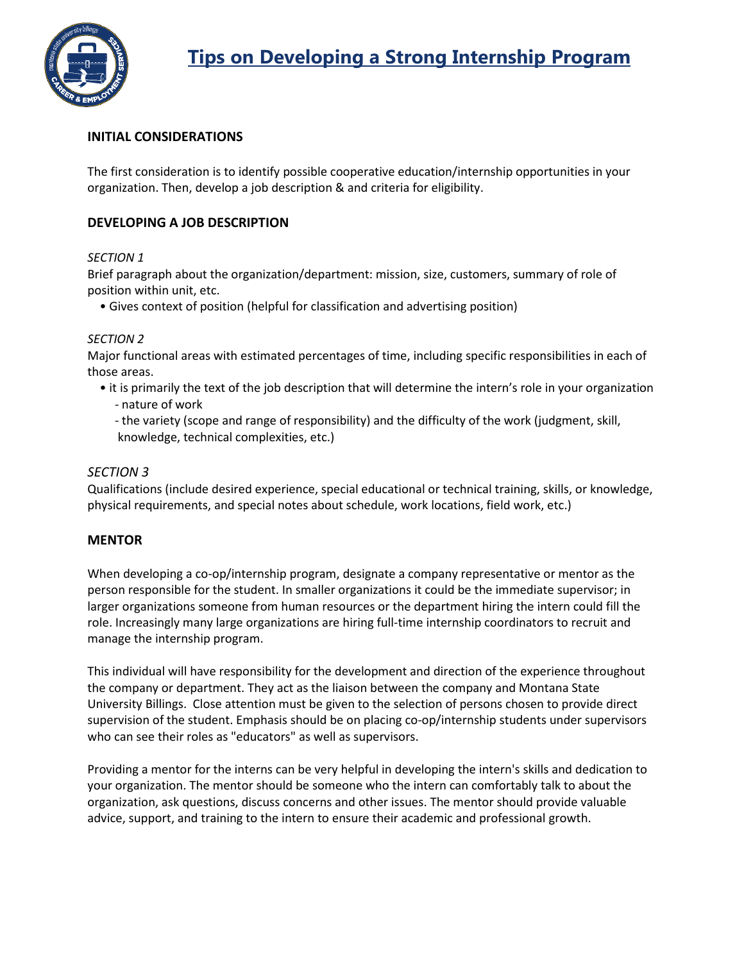

# **INITIAL CONSIDERATIONS**

The first consideration is to identify possible cooperative education/internship opportunities in your organization. Then, develop a job description & and criteria for eligibility.

# **DEVELOPING A JOB DESCRIPTION**

## *SECTION 1*

Brief paragraph about the organization/department: mission, size, customers, summary of role of position within unit, etc.

• Gives context of position (helpful for classification and advertising position)

#### *SECTION 2*

Major functional areas with estimated percentages of time, including specific responsibilities in each of those areas.

- it is primarily the text of the job description that will determine the intern's role in your organization
	- nature of work
	- the variety (scope and range of responsibility) and the difficulty of the work (judgment, skill, knowledge, technical complexities, etc.)

#### *SECTION 3*

Qualifications (include desired experience, special educational or technical training, skills, or knowledge, physical requirements, and special notes about schedule, work locations, field work, etc.)

## **MENTOR**

When developing a co-op/internship program, designate a company representative or mentor as the person responsible for the student. In smaller organizations it could be the immediate supervisor; in larger organizations someone from human resources or the department hiring the intern could fill the role. Increasingly many large organizations are hiring full-time internship coordinators to recruit and manage the internship program.

This individual will have responsibility for the development and direction of the experience throughout the company or department. They act as the liaison between the company and Montana State University Billings. Close attention must be given to the selection of persons chosen to provide direct supervision of the student. Emphasis should be on placing co-op/internship students under supervisors who can see their roles as "educators" as well as supervisors.

Providing a mentor for the interns can be very helpful in developing the intern's skills and dedication to your organization. The mentor should be someone who the intern can comfortably talk to about the organization, ask questions, discuss concerns and other issues. The mentor should provide valuable advice, support, and training to the intern to ensure their academic and professional growth.